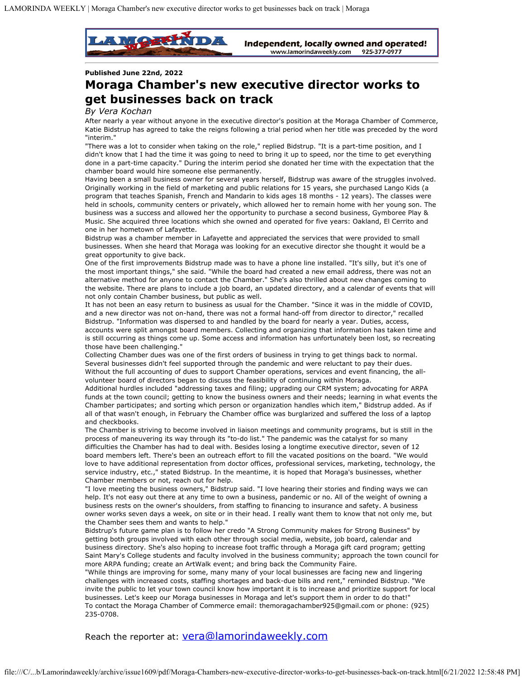

Independent, locally owned and operated! www.lamorindaweekly.com 925-377-0977

## **Published June 22nd, 2022**

## **Moraga Chamber's new executive director works to get businesses back on track**

## *By Vera Kochan*

After nearly a year without anyone in the executive director's position at the Moraga Chamber of Commerce, Katie Bidstrup has agreed to take the reigns following a trial period when her title was preceded by the word "interim."

"There was a lot to consider when taking on the role," replied Bidstrup. "It is a part-time position, and I didn't know that I had the time it was going to need to bring it up to speed, nor the time to get everything done in a part-time capacity." During the interim period she donated her time with the expectation that the chamber board would hire someone else permanently.

Having been a small business owner for several years herself, Bidstrup was aware of the struggles involved. Originally working in the field of marketing and public relations for 15 years, she purchased Lango Kids (a program that teaches Spanish, French and Mandarin to kids ages 18 months - 12 years). The classes were held in schools, community centers or privately, which allowed her to remain home with her young son. The business was a success and allowed her the opportunity to purchase a second business, Gymboree Play & Music. She acquired three locations which she owned and operated for five years: Oakland, El Cerrito and one in her hometown of Lafayette.

Bidstrup was a chamber member in Lafayette and appreciated the services that were provided to small businesses. When she heard that Moraga was looking for an executive director she thought it would be a great opportunity to give back.

One of the first improvements Bidstrup made was to have a phone line installed. "It's silly, but it's one of the most important things," she said. "While the board had created a new email address, there was not an alternative method for anyone to contact the Chamber." She's also thrilled about new changes coming to the website. There are plans to include a job board, an updated directory, and a calendar of events that will not only contain Chamber business, but public as well.

It has not been an easy return to business as usual for the Chamber. "Since it was in the middle of COVID, and a new director was not on-hand, there was not a formal hand-off from director to director," recalled Bidstrup. "Information was dispersed to and handled by the board for nearly a year. Duties, access, accounts were split amongst board members. Collecting and organizing that information has taken time and is still occurring as things come up. Some access and information has unfortunately been lost, so recreating those have been challenging."

Collecting Chamber dues was one of the first orders of business in trying to get things back to normal. Several businesses didn't feel supported through the pandemic and were reluctant to pay their dues. Without the full accounting of dues to support Chamber operations, services and event financing, the allvolunteer board of directors began to discuss the feasibility of continuing within Moraga.

Additional hurdles included "addressing taxes and filing; upgrading our CRM system; advocating for ARPA funds at the town council; getting to know the business owners and their needs; learning in what events the Chamber participates; and sorting which person or organization handles which item," Bidstrup added. As if all of that wasn't enough, in February the Chamber office was burglarized and suffered the loss of a laptop and checkbooks.

The Chamber is striving to become involved in liaison meetings and community programs, but is still in the process of maneuvering its way through its "to-do list." The pandemic was the catalyst for so many difficulties the Chamber has had to deal with. Besides losing a longtime executive director, seven of 12 board members left. There's been an outreach effort to fill the vacated positions on the board. "We would love to have additional representation from doctor offices, professional services, marketing, technology, the service industry, etc.," stated Bidstrup. In the meantime, it is hoped that Moraga's businesses, whether Chamber members or not, reach out for help.

"I love meeting the business owners," Bidstrup said. "I love hearing their stories and finding ways we can help. It's not easy out there at any time to own a business, pandemic or no. All of the weight of owning a business rests on the owner's shoulders, from staffing to financing to insurance and safety. A business owner works seven days a week, on site or in their head. I really want them to know that not only me, but the Chamber sees them and wants to help."

Bidstrup's future game plan is to follow her credo "A Strong Community makes for Strong Business" by getting both groups involved with each other through social media, website, job board, calendar and business directory. She's also hoping to increase foot traffic through a Moraga gift card program; getting Saint Mary's College students and faculty involved in the business community; approach the town council for more ARPA funding; create an ArtWalk event; and bring back the Community Faire.

"While things are improving for some, many many of your local businesses are facing new and lingering challenges with increased costs, staffing shortages and back-due bills and rent," reminded Bidstrup. "We invite the public to let your town council know how important it is to increase and prioritize support for local businesses. Let's keep our Moraga businesses in Moraga and let's support them in order to do that!" To contact the Moraga Chamber of Commerce email: themoragachamber925@gmail.com or phone: (925) 235-0708.

Reach the reporter at: [vera@lamorindaweekly.com](mailto:vera@lamorindaweekly.com)